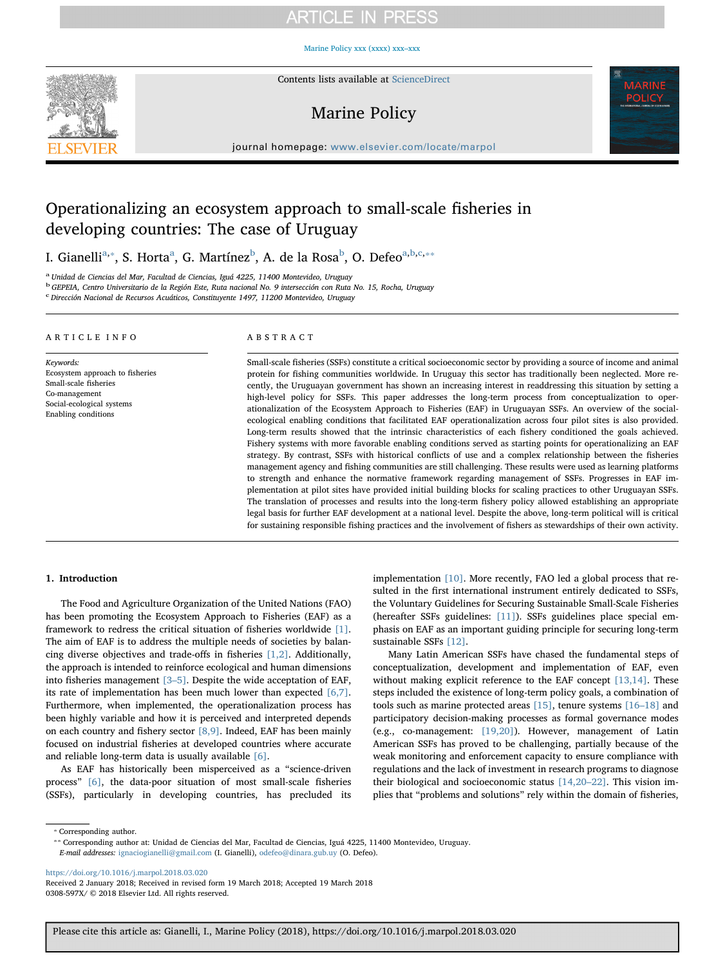## **ARTICLE IN PRESS**

[Marine Policy xxx \(xxxx\) xxx–xxx](https://doi.org/10.1016/j.marpol.2018.03.020)



Contents lists available at [ScienceDirect](http://www.sciencedirect.com/science/journal/0308597X)

### Marine Policy



journal homepage: [www.elsevier.com/locate/marpol](https://www.elsevier.com/locate/marpol)

### Operationalizing an ecosystem approach to small-scale fisheries in developing countries: The case of Uruguay

I. Gianelli<sup>a,</sup>\*, S. Horta<sup>a</sup>, G. Martínez<sup>b</sup>, A. de la Rosa<sup>b</sup>, O. Defeo<sup>a,b,c,</sup>\*\*

<sup>a</sup> Unidad de Ciencias del Mar, Facultad de Ciencias, Iguá 4225, 11400 Montevideo, Uruguay

<sup>b</sup> GEPEIA, Centro Universitario de la Región Este, Ruta nacional No. 9 intersección con Ruta No. 15, Rocha, Uruguay

c<br>Dirección Nacional de Recursos Acuáticos, Constituyente 1497, 11200 Montevideo, Uruguay

#### ARTICLE INFO

Keywords: Ecosystem approach to fisheries Small-scale fisheries Co-management Social-ecological systems Enabling conditions

#### ABSTRACT

Small-scale fisheries (SSFs) constitute a critical socioeconomic sector by providing a source of income and animal protein for fishing communities worldwide. In Uruguay this sector has traditionally been neglected. More recently, the Uruguayan government has shown an increasing interest in readdressing this situation by setting a high-level policy for SSFs. This paper addresses the long-term process from conceptualization to operationalization of the Ecosystem Approach to Fisheries (EAF) in Uruguayan SSFs. An overview of the socialecological enabling conditions that facilitated EAF operationalization across four pilot sites is also provided. Long-term results showed that the intrinsic characteristics of each fishery conditioned the goals achieved. Fishery systems with more favorable enabling conditions served as starting points for operationalizing an EAF strategy. By contrast, SSFs with historical conflicts of use and a complex relationship between the fisheries management agency and fishing communities are still challenging. These results were used as learning platforms to strength and enhance the normative framework regarding management of SSFs. Progresses in EAF implementation at pilot sites have provided initial building blocks for scaling practices to other Uruguayan SSFs. The translation of processes and results into the long-term fishery policy allowed establishing an appropriate legal basis for further EAF development at a national level. Despite the above, long-term political will is critical for sustaining responsible fishing practices and the involvement of fishers as stewardships of their own activity.

#### 1. Introduction

The Food and Agriculture Organization of the United Nations (FAO) has been promoting the Ecosystem Approach to Fisheries (EAF) as a framework to redress the critical situation of fisheries worldwide [1]. The aim of EAF is to address the multiple needs of societies by balancing diverse objectives and trade-offs in fisheries [1,2]. Additionally, the approach is intended to reinforce ecological and human dimensions into fisheries management [3–5]. Despite the wide acceptation of EAF, its rate of implementation has been much lower than expected  $[6,7]$ . Furthermore, when implemented, the operationalization process has been highly variable and how it is perceived and interpreted depends on each country and fishery sector [8,9]. Indeed, EAF has been mainly focused on industrial fisheries at developed countries where accurate and reliable long-term data is usually available [6].

As EAF has historically been misperceived as a "science-driven process" [6], the data-poor situation of most small-scale fisheries (SSFs), particularly in developing countries, has precluded its

implementation [10]. More recently, FAO led a global process that resulted in the first international instrument entirely dedicated to SSFs, the Voluntary Guidelines for Securing Sustainable Small-Scale Fisheries (hereafter SSFs guidelines: [11]). SSFs guidelines place special emphasis on EAF as an important guiding principle for securing long-term sustainable SSFs [12].

Many Latin American SSFs have chased the fundamental steps of conceptualization, development and implementation of EAF, even without making explicit reference to the EAF concept [13,14]. These steps included the existence of long-term policy goals, a combination of tools such as marine protected areas [15], tenure systems [16–18] and participatory decision-making processes as formal governance modes (e.g., co-management: [19,20]). However, management of Latin American SSFs has proved to be challenging, partially because of the weak monitoring and enforcement capacity to ensure compliance with regulations and the lack of investment in research programs to diagnose their biological and socioeconomic status [14,20–22]. This vision implies that "problems and solutions" rely within the domain of fisheries,

<https://doi.org/10.1016/j.marpol.2018.03.020>

<sup>⁎</sup> Corresponding author.

<sup>⁎⁎</sup> Corresponding author at: Unidad de Ciencias del Mar, Facultad de Ciencias, Iguá 4225, 11400 Montevideo, Uruguay. E-mail addresses: [ignaciogianelli@gmail.com](mailto:ignaciogianelli@gmail.com) (I. Gianelli), [odefeo@dinara.gub.uy](mailto:odefeo@dinara.gub.uy) (O. Defeo).

Received 2 January 2018; Received in revised form 19 March 2018; Accepted 19 March 2018 0308-597X/ © 2018 Elsevier Ltd. All rights reserved.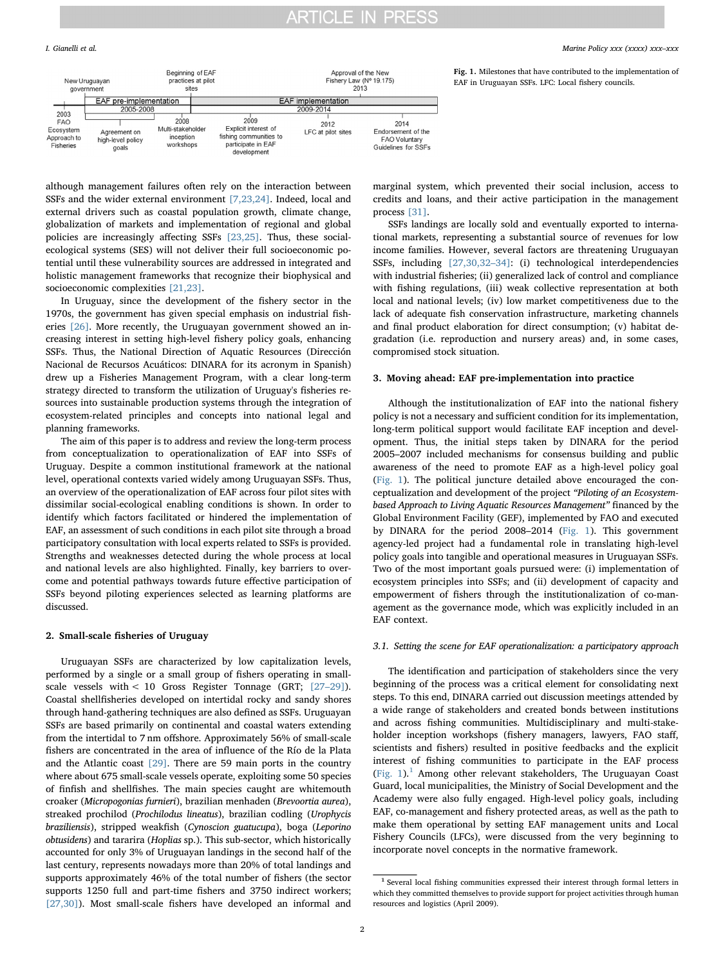#### I. Gianelli et al. *Marine Policy xxx (xxxx) xxx–xxx*

Fig. 1. Milestones that have contributed to the implementation of

EAF in Uruguayan SSFs. LFC: Local fishery councils.



although management failures often rely on the interaction between SSFs and the wider external environment [7,23,24]. Indeed, local and external drivers such as coastal population growth, climate change, globalization of markets and implementation of regional and global policies are increasingly affecting SSFs [23,25]. Thus, these socialecological systems (SES) will not deliver their full socioeconomic potential until these vulnerability sources are addressed in integrated and holistic management frameworks that recognize their biophysical and socioeconomic complexities [21,23].

In Uruguay, since the development of the fishery sector in the 1970s, the government has given special emphasis on industrial fisheries [26]. More recently, the Uruguayan government showed an increasing interest in setting high-level fishery policy goals, enhancing SSFs. Thus, the National Direction of Aquatic Resources (Dirección Nacional de Recursos Acuáticos: DINARA for its acronym in Spanish) drew up a Fisheries Management Program, with a clear long-term strategy directed to transform the utilization of Uruguay's fisheries resources into sustainable production systems through the integration of ecosystem-related principles and concepts into national legal and planning frameworks.

The aim of this paper is to address and review the long-term process from conceptualization to operationalization of EAF into SSFs of Uruguay. Despite a common institutional framework at the national level, operational contexts varied widely among Uruguayan SSFs. Thus, an overview of the operationalization of EAF across four pilot sites with dissimilar social-ecological enabling conditions is shown. In order to identify which factors facilitated or hindered the implementation of EAF, an assessment of such conditions in each pilot site through a broad participatory consultation with local experts related to SSFs is provided. Strengths and weaknesses detected during the whole process at local and national levels are also highlighted. Finally, key barriers to overcome and potential pathways towards future effective participation of SSFs beyond piloting experiences selected as learning platforms are discussed.

#### 2. Small-scale fisheries of Uruguay

Uruguayan SSFs are characterized by low capitalization levels, performed by a single or a small group of fishers operating in smallscale vessels with < 10 Gross Register Tonnage (GRT; [27–29]). Coastal shellfisheries developed on intertidal rocky and sandy shores through hand-gathering techniques are also defined as SSFs. Uruguayan SSFs are based primarily on continental and coastal waters extending from the intertidal to 7 nm offshore. Approximately 56% of small-scale fishers are concentrated in the area of influence of the Río de la Plata and the Atlantic coast [29]. There are 59 main ports in the country where about 675 small-scale vessels operate, exploiting some 50 species of finfish and shellfishes. The main species caught are whitemouth croaker (Micropogonias furnieri), brazilian menhaden (Brevoortia aurea), streaked prochilod (Prochilodus lineatus), brazilian codling (Urophycis braziliensis), stripped weakfish (Cynoscion guatucupa), boga (Leporino obtusidens) and tararira (Hoplias sp.). This sub-sector, which historically accounted for only 3% of Uruguayan landings in the second half of the last century, represents nowadays more than 20% of total landings and supports approximately 46% of the total number of fishers (the sector supports 1250 full and part-time fishers and 3750 indirect workers; [27,30]). Most small-scale fishers have developed an informal and

marginal system, which prevented their social inclusion, access to credits and loans, and their active participation in the management process [31].

SSFs landings are locally sold and eventually exported to international markets, representing a substantial source of revenues for low income families. However, several factors are threatening Uruguayan SSFs, including [27,30,32–34]: (i) technological interdependencies with industrial fisheries; (ii) generalized lack of control and compliance with fishing regulations, (iii) weak collective representation at both local and national levels; (iv) low market competitiveness due to the lack of adequate fish conservation infrastructure, marketing channels and final product elaboration for direct consumption; (v) habitat degradation (i.e. reproduction and nursery areas) and, in some cases, compromised stock situation.

#### 3. Moving ahead: EAF pre-implementation into practice

Although the institutionalization of EAF into the national fishery policy is not a necessary and sufficient condition for its implementation, long-term political support would facilitate EAF inception and development. Thus, the initial steps taken by DINARA for the period 2005–2007 included mechanisms for consensus building and public awareness of the need to promote EAF as a high-level policy goal (Fig. 1). The political juncture detailed above encouraged the conceptualization and development of the project "Piloting of an Ecosystembased Approach to Living Aquatic Resources Management" financed by the Global Environment Facility (GEF), implemented by FAO and executed by DINARA for the period 2008–2014 (Fig. 1). This government agency-led project had a fundamental role in translating high-level policy goals into tangible and operational measures in Uruguayan SSFs. Two of the most important goals pursued were: (i) implementation of ecosystem principles into SSFs; and (ii) development of capacity and empowerment of fishers through the institutionalization of co-management as the governance mode, which was explicitly included in an EAF context.

#### 3.1. Setting the scene for EAF operationalization: a participatory approach

The identification and participation of stakeholders since the very beginning of the process was a critical element for consolidating next steps. To this end, DINARA carried out discussion meetings attended by a wide range of stakeholders and created bonds between institutions and across fishing communities. Multidisciplinary and multi-stakeholder inception workshops (fishery managers, lawyers, FAO staff, scientists and fishers) resulted in positive feedbacks and the explicit interest of fishing communities to participate in the EAF process (Fig. 1).<sup>1</sup> Among other relevant stakeholders, The Uruguayan Coast Guard, local municipalities, the Ministry of Social Development and the Academy were also fully engaged. High-level policy goals, including EAF, co-management and fishery protected areas, as well as the path to make them operational by setting EAF management units and Local Fishery Councils (LFCs), were discussed from the very beginning to incorporate novel concepts in the normative framework.

<sup>1</sup> Several local fishing communities expressed their interest through formal letters in which they committed themselves to provide support for project activities through human resources and logistics (April 2009).